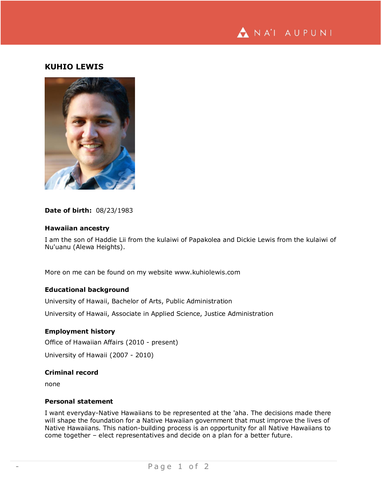

# **KUHIO LEWIS**



#### **Date of birth:** 08/23/1983

#### **Hawaiian ancestry**

I am the son of Haddie Lii from the kulaiwi of Papakolea and Dickie Lewis from the kulaiwi of Nu'uanu (Alewa Heights).

More on me can be found on my website www.kuhiolewis.com

## **Educational background**

University of Hawaii, Bachelor of Arts, Public Administration

University of Hawaii, Associate in Applied Science, Justice Administration

#### **Employment history**

Office of Hawaiian Affairs (2010 - present)

University of Hawaii (2007 - 2010)

### **Criminal record**

none

### **Personal statement**

I want everyday-Native Hawaiians to be represented at the 'aha. The decisions made there will shape the foundation for a Native Hawaiian government that must improve the lives of Native Hawaiians. This nation-building process is an opportunity for all Native Hawaiians to come together – elect representatives and decide on a plan for a better future.